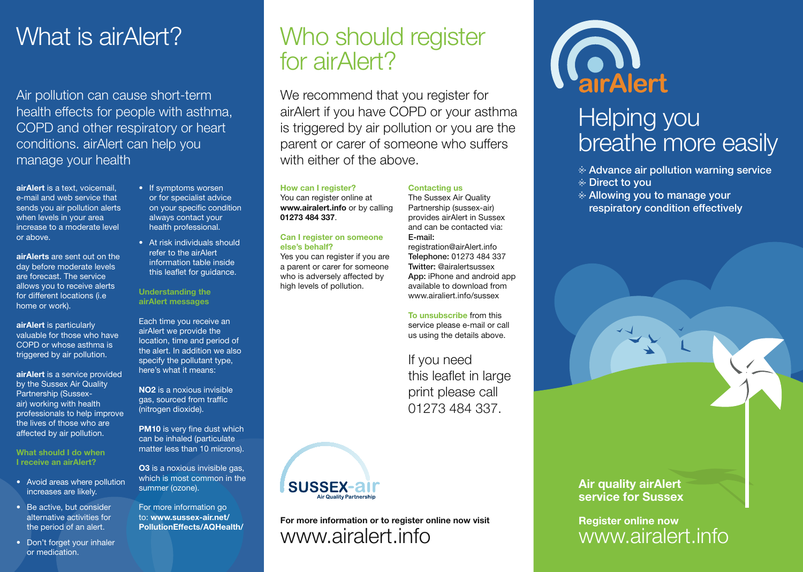# What is airAlert?

Air pollution can cause short-term health effects for people with asthma, COPD and other respiratory or heart conditions. airAlert can help you manage your health

airAlert is a text, voicemail. e-mail and web service that sends you air pollution alerts when levels in your area increase to a moderate level or above.

airAlerts are sent out on the day before moderate levels are forecast. The service allows you to receive alerts for different locations (i.e home or work).

airAlert is particularly valuable for those who have COPD or whose asthma is triggered by air pollution.

airAlert is a service provided by the Sussex Air Quality Partnership (Sussexair) working with health professionals to help improve the lives of those who are affected by air pollution.

#### What should I do when I receive an airAlert?

- Avoid areas where pollution increases are likely.
- Be active, but consider alternative activities for the period of an alert.
- Don't forget your inhaler or medication.
- If symptoms worsen or for specialist advice on your specific condition always contact your health professional.
- At risk individuals should refer to the airAlert information table inside this leaflet for guidance.

### Understanding the airAlert messages

Each time you receive an airAlert we provide the location, time and period of the alert. In addition we also specify the pollutant type, here's what it means:

NO2 is a noxious invisible gas, sourced from traffic (nitrogen dioxide).

**PM10** is very fine dust which can be inhaled (particulate matter less than 10 microns).

O3 is a noxious invisible gas, which is most common in the summer (ozone).

For more information go to: www.sussex-air.net/ PollutionEffects/AQHealth/

# Who should register for airAlert?

We recommend that you register for airAlert if you have COPD or your asthma is triggered by air pollution or you are the parent or carer of someone who suffers with either of the above.

## How can I register?

You can register online at www.airalert.info or by calling 01273 484 337.

## Can I register on someone

else's behalf? Yes you can register if you are a parent or carer for someone who is adversely affected by high levels of pollution.

### Contacting us

The Sussex Air Quality Partnership (sussex-air) provides airAlert in Sussex and can be contacted via: E-mail:

registration@airAlert.info Telephone: 01273 484 337 Twitter: @airalertsussex App: iPhone and android app available to download from www.airaliert.info/sussex

To unsubscribe from this service please e-mail or call us using the details above.

If you need this leaflet in large print please call 01273 484 337.



For more information or to register online now visit www.airalert.info



# Helping you breathe more easily

- $*$  Advance air pollution warning service
- Direct to you
- Allowing you to manage your respiratory condition effectively

Air quality airAlert service for Sussex

Register online now www.airalert.info